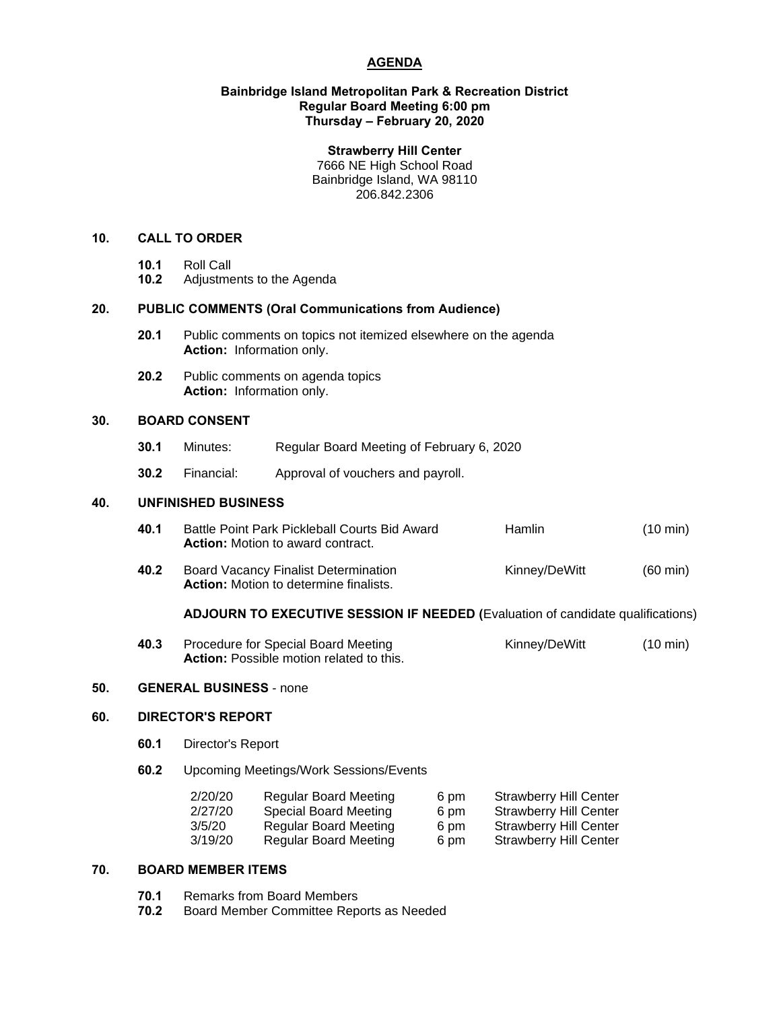# **AGENDA**

#### **Bainbridge Island Metropolitan Park & Recreation District Regular Board Meeting 6:00 pm Thursday – February 20, 2020**

#### **Strawberry Hill Center**

7666 NE High School Road Bainbridge Island, WA 98110 206.842.2306

# **10. CALL TO ORDER**

- 
- **10.1** Roll Call **10.2** Adjustments to the Agenda

# **20. PUBLIC COMMENTS (Oral Communications from Audience)**

- **20.1** Public comments on topics not itemized elsewhere on the agenda **Action:** Information only.
- **20.2** Public comments on agenda topics **Action:** Information only.

## **30. BOARD CONSENT**

- **30.1** Minutes: Regular Board Meeting of February 6, 2020
- **30.2** Financial: Approval of vouchers and payroll.

**Action:** Motion to determine finalists.

#### **40. UNFINISHED BUSINESS**

| 40.1 | Battle Point Park Pickleball Courts Bid Award<br><b>Action:</b> Motion to award contract. | Hamlin        | $(10 \text{ min})$ |
|------|-------------------------------------------------------------------------------------------|---------------|--------------------|
| 40.2 | <b>Board Vacancy Finalist Determination</b>                                               | Kinney/DeWitt | (60 min)           |

## **ADJOURN TO EXECUTIVE SESSION IF NEEDED (**Evaluation of candidate qualifications)

| 40.3 | Procedure for Special Board Meeting             | Kinney/DeWitt | $(10 \text{ min})$ |
|------|-------------------------------------------------|---------------|--------------------|
|      | <b>Action:</b> Possible motion related to this. |               |                    |

## **50. GENERAL BUSINESS** - none

#### **60. DIRECTOR'S REPORT**

- **60.1** Director's Report
- **60.2** Upcoming Meetings/Work Sessions/Events

| <b>Regular Board Meeting</b> | 6 pm | <b>Strawberry Hill Center</b> |
|------------------------------|------|-------------------------------|
| <b>Special Board Meeting</b> | 6 pm | <b>Strawberry Hill Center</b> |
| <b>Regular Board Meeting</b> | 6 pm | <b>Strawberry Hill Center</b> |
| <b>Regular Board Meeting</b> | 6 pm | <b>Strawberry Hill Center</b> |
|                              |      |                               |

# **70. BOARD MEMBER ITEMS**

- **70.1** Remarks from Board Members
- **70.2** Board Member Committee Reports as Needed